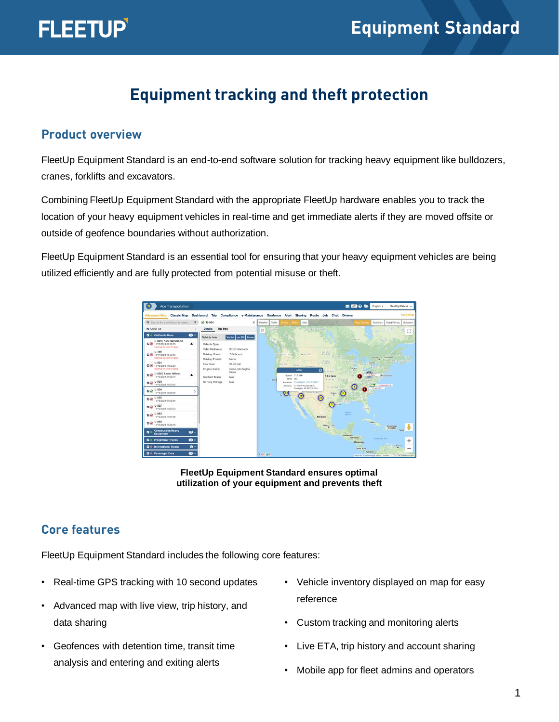

# **Equipment tracking and theft protection**

#### **Product overview**

FleetUp Equipment Standard is an end-to-end software solution for tracking heavy equipment like bulldozers, cranes, forklifts and excavators.

Combining FleetUp Equipment Standard with the appropriate FleetUp hardware enables you to track the location of your heavy equipment vehicles in real-time and get immediate alerts if they are moved offsite or outside of geofence boundaries without authorization.

FleetUp Equipment Standard is an essential tool for ensuring that your heavy equipment vehicles are being utilized efficiently and are fully protected from potential misuse or theft.



**FleetUp Equipment Standard ensures optimal utilization of your equipment and prevents theft** 

## **Core features**

FleetUp Equipment Standard includes the following core features:

- Real-time GPS tracking with 10 second updates
- Advanced map with live view, trip history, and data sharing
- Geofences with detention time, transit time analysis and entering and exiting alerts
- Vehicle inventory displayed on map for easy reference
- Custom tracking and monitoring alerts
- Live ETA, trip history and account sharing
- Mobile app for fleet admins and operators